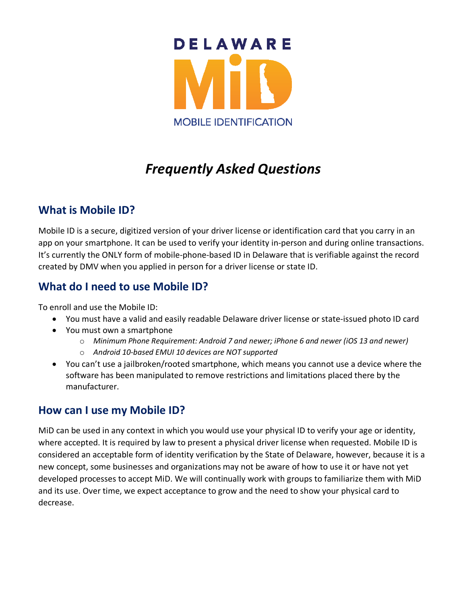

# *Frequently Asked Questions*

### **What is Mobile ID?**

Mobile ID is a secure, digitized version of your driver license or identification card that you carry in an app on your smartphone. It can be used to verify your identity in-person and during online transactions. It's currently the ONLY form of mobile-phone-based ID in Delaware that is verifiable against the record created by DMV when you applied in person for a driver license or state ID.

## **What do I need to use Mobile ID?**

To enroll and use the Mobile ID:

- You must have a valid and easily readable Delaware driver license or state-issued photo ID card
- You must own a smartphone
	- o *Minimum Phone Requirement: Android 7 and newer; iPhone 6 and newer (iOS 13 and newer)*
	- o *Android 10-based EMUI 10 devices are NOT supported*
- You can't use a jailbroken/rooted smartphone, which means you cannot use a device where the software has been manipulated to remove restrictions and limitations placed there by the manufacturer.

### **How can I use my Mobile ID?**

MiD can be used in any context in which you would use your physical ID to verify your age or identity, where accepted. It is required by law to present a physical driver license when requested. Mobile ID is considered an acceptable form of identity verification by the State of Delaware, however, because it is a new concept, some businesses and organizations may not be aware of how to use it or have not yet developed processes to accept MiD. We will continually work with groups to familiarize them with MiD and its use. Over time, we expect acceptance to grow and the need to show your physical card to decrease.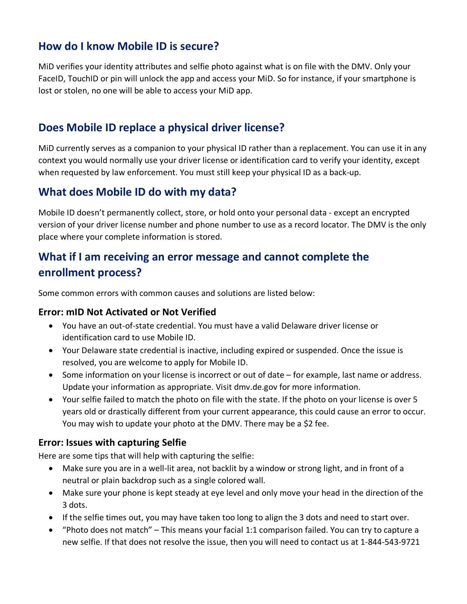### **How do I know Mobile ID is secure?**

MiD verifies your identity attributes and selfie photo against what is on file with the DMV. Only your FaceID, TouchID or pin will unlock the app and access your MiD. So for instance, if your smartphone is lost or stolen, no one will be able to access your MiD app.

# **Does Mobile ID replace a physical driver license?**

MiD currently serves as a companion to your physical ID rather than a replacement. You can use it in any context you would normally use your driver license or identification card to verify your identity, except when requested by law enforcement. You must still keep your physical ID as a back-up.

## **What does Mobile ID do with my data?**

Mobile ID doesn't permanently collect, store, or hold onto your personal data - except an encrypted version of your driver license number and phone number to use as a record locator. The DMV is the only place where your complete information is stored.

# **What if I am receiving an error message and cannot complete the enrollment process?**

Some common errors with common causes and solutions are listed below:

#### **Error: mID Not Activated or Not Verified**

- You have an out-of-state credential. You must have a valid Delaware driver license or identification card to use Mobile ID.
- Your Delaware state credential is inactive, including expired or suspended. Once the issue is resolved, you are welcome to apply for Mobile ID.
- Some information on your license is incorrect or out of date for example, last name or address. Update your information as appropriate. Visit dmv.de.gov for more information.
- Your selfie failed to match the photo on file with the state. If the photo on your license is over 5 years old or drastically different from your current appearance, this could cause an error to occur. You may wish to update your photo at the DMV. There may be a \$2 fee.

### **Error: Issues with capturing Selfie**

Here are some tips that will help with capturing the selfie:

- Make sure you are in a well-lit area, not backlit by a window or strong light, and in front of a neutral or plain backdrop such as a single colored wall.
- Make sure your phone is kept steady at eye level and only move your head in the direction of the 3 dots.
- If the selfie times out, you may have taken too long to align the 3 dots and need to start over.
- "Photo does not match" This means your facial 1:1 comparison failed. You can try to capture a new selfie. If that does not resolve the issue, then you will need to contact us at 1-844-543-9721